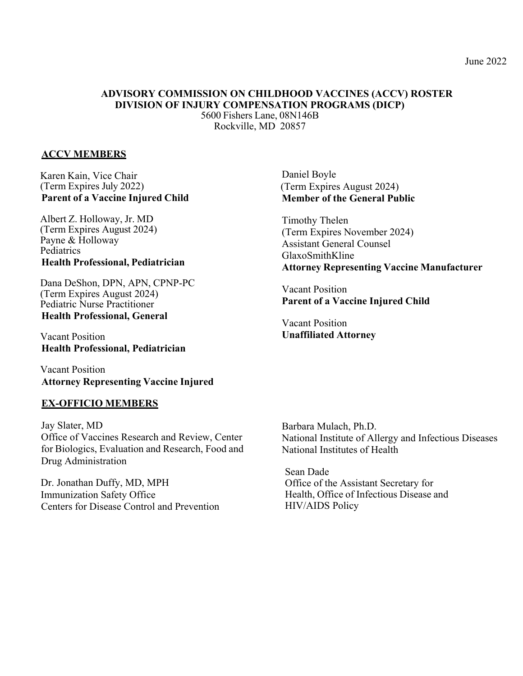# **ADVISORY COMMISSION ON CHILDHOOD VACCINES (ACCV) ROSTER DIVISION OF INJURY COMPENSATION PROGRAMS (DICP)**

5600 Fishers Lane, 08N146B Rockville, MD 20857

#### **ACCV MEMBERS**

Karen Kain, Vice Chair (Term Expires July 2022) **Parent of a Vaccine Injured Child**

Albert Z. Holloway, Jr. MD (Term Expires August 2024) Payne & Holloway Pediatrics **Health Professional, Pediatrician**

Dana DeShon, DPN, APN, CPNP-PC (Term Expires August 2024) Pediatric Nurse Practitioner **Health Professional, General**

Vacant Position **Health Professional, Pediatrician**

Vacant Position **Attorney Representing Vaccine Injured**

#### **EX-OFFICIO MEMBERS**

Jay Slater, MD Office of Vaccines Research and Review, Center for Biologics, Evaluation and Research, Food and Drug Administration

Dr. Jonathan Duffy, MD, MPH Immunization Safety Office Centers for Disease Control and Prevention

Daniel Boyle (Term Expires August 2024) **Member of the General Public**

Timothy Thelen (Term Expires November 2024) Assistant General Counsel GlaxoSmithKline **Attorney Representing Vaccine Manufacturer**

Vacant Position **Parent of a Vaccine Injured Child**

Vacant Position **Unaffiliated Attorney**

Barbara Mulach, Ph.D. National Institute of Allergy and Infectious Diseases National Institutes of Health

Sean Dade Office of the Assistant Secretary for Health, Office of Infectious Disease and HIV/AIDS Policy